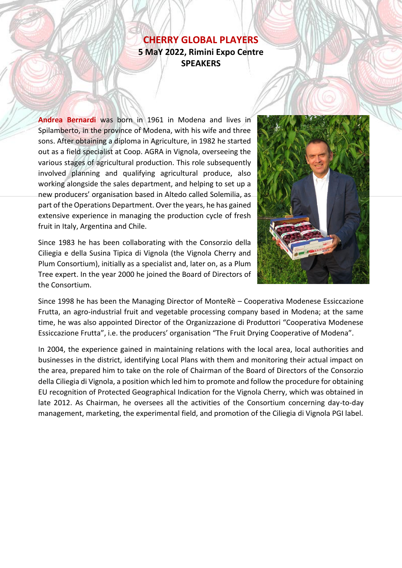## **CHERRY GLOBAL PLAYERS 5 MaY 2022, Rimini Expo Centre SPEAKERS**

**Andrea Bernardi** was born in 1961 in Modena and lives in Spilamberto, in the province of Modena, with his wife and three sons. After obtaining a diploma in Agriculture, in 1982 he started out as a field specialist at Coop. AGRA in Vignola, overseeing the various stages of agricultural production. This role subsequently involved planning and qualifying agricultural produce, also working alongside the sales department, and helping to set up a new producers' organisation based in Altedo called Solemilia, as part of the Operations Department. Over the years, he has gained extensive experience in managing the production cycle of fresh fruit in Italy, Argentina and Chile.

Since 1983 he has been collaborating with the Consorzio della Ciliegia e della Susina Tipica di Vignola (the Vignola Cherry and Plum Consortium), initially as a specialist and, later on, as a Plum Tree expert. In the year 2000 he joined the Board of Directors of the Consortium.



Since 1998 he has been the Managing Director of MonteRè – Cooperativa Modenese Essiccazione Frutta, an agro-industrial fruit and vegetable processing company based in Modena; at the same time, he was also appointed Director of the Organizzazione di Produttori "Cooperativa Modenese Essiccazione Frutta", i.e. the producers' organisation "The Fruit Drying Cooperative of Modena".

In 2004, the experience gained in maintaining relations with the local area, local authorities and businesses in the district, identifying Local Plans with them and monitoring their actual impact on the area, prepared him to take on the role of Chairman of the Board of Directors of the Consorzio della Ciliegia di Vignola, a position which led him to promote and follow the procedure for obtaining EU recognition of Protected Geographical Indication for the Vignola Cherry, which was obtained in late 2012. As Chairman, he oversees all the activities of the Consortium concerning day-to-day management, marketing, the experimental field, and promotion of the Ciliegia di Vignola PGI label.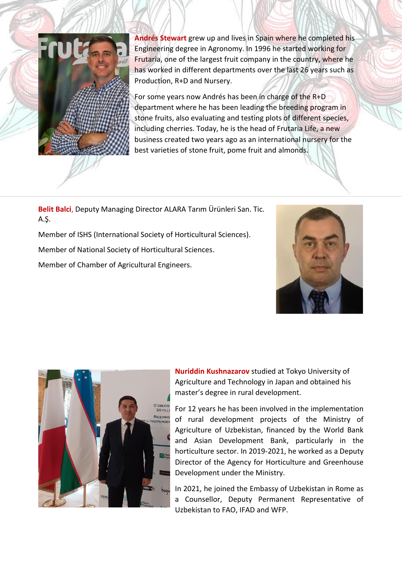

**Andrés Stewart** grew up and lives in Spain where he completed his Engineering degree in Agronomy. In 1996 he started working for Frutaria, one of the largest fruit company in the country, where he has worked in different departments over the last 26 years such as Production, R+D and Nursery.

For some years now Andrés has been in charge of the R+D department where he has been leading the breeding program in stone fruits, also evaluating and testing plots of different species, including cherries. Today, he is the head of Frutaria Life, a new business created two years ago as an international nursery for the best varieties of stone fruit, pome fruit and almonds.

**Belit Balci**, Deputy Managing Director ALARA Tarım Ürünleri San. Tic. A.Ş.

Member of ISHS (International Society of Horticultural Sciences).

Member of National Society of Horticultural Sciences.

Member of Chamber of Agricultural Engineers.





**Nuriddin Kushnazarov** studied at Tokyo University of Agriculture and Technology in Japan and obtained his master's degree in rural development.

For 12 years he has been involved in the implementation of rural development projects of the Ministry of Agriculture of Uzbekistan, financed by the World Bank and Asian Development Bank, particularly in the horticulture sector. In 2019-2021, he worked as a Deputy Director of the Agency for Horticulture and Greenhouse Development under the Ministry.

In 2021, he joined the Embassy of Uzbekistan in Rome as a Counsellor, Deputy Permanent Representative of Uzbekistan to FAO, IFAD and WFP.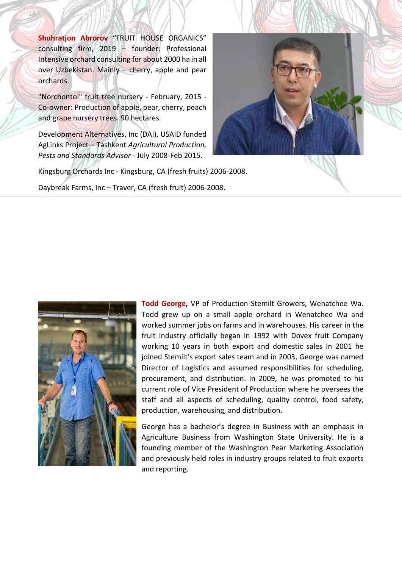**Shuhratjon Abrorov** "FRUIT HOUSE ORGANICS" consulting firm, 2019 – founder: Professional Intensive orchard consulting for about 2000 ha in all over Uzbekistan. Mainly – cherry, apple and pear orchards.

"Norchontol" fruit tree nursery - February, 2015 - Co-owner: Production of apple, pear, cherry, peach and grape nursery trees. 90 hectares.

Development Alternatives, Inc (DAI), USAID funded AgLinks Project – Tashkent *Agricultural Production, Pests and Standards Advisor* - July 2008-Feb 2015.



Kingsburg Orchards Inc - Kingsburg, CA (fresh fruits) 2006-2008.

Daybreak Farms, Inc – Traver, CA (fresh fruit) 2006-2008.



**Todd George,** VP of Production Stemilt Growers, Wenatchee Wa. Todd grew up on a small apple orchard in Wenatchee Wa and worked summer jobs on farms and in warehouses. His career in the fruit industry officially began in 1992 with Dovex fruit Company working 10 years in both export and domestic sales In 2001 he joined Stemilt's export sales team and in 2003, George was named Director of Logistics and assumed responsibilities for scheduling, procurement, and distribution. In 2009, he was promoted to his current role of Vice President of Production where he oversees the staff and all aspects of scheduling, quality control, food safety, production, warehousing, and distribution.

George has a bachelor's degree in Business with an emphasis in Agriculture Business from Washington State University. He is a founding member of the Washington Pear Marketing Association and previously held roles in industry groups related to fruit exports and reporting.